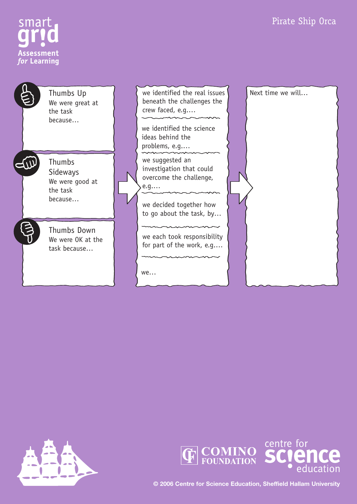# Pirate Ship Orca



EW

Thumbs Up We were great at the task because…

Thumbs Sideways We were good at the task because…

Thumbs Down We were OK at the task because…

we identified the real issues beneath the challenges the crew faced, e.g.…

we identified the science ideas behind the problems, e.g.…

we suggested an investigation that could overcome the challenge, e.g.…

we decided together how to go about the task, by…

we each took responsibility for part of the work, e.g.…

we…







**© 2006 Centre for Science Education, Sheffield Hallam University**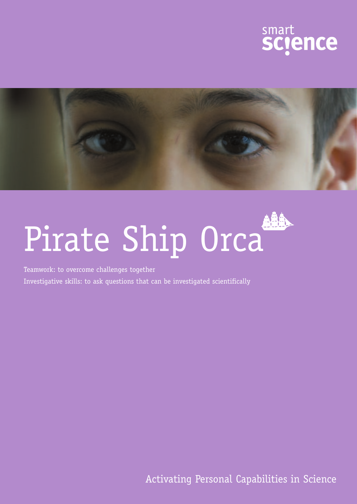



# Pirate Ship Orca

Teamwork: to overcome challenges together

Investigative skills: to ask questions that can be investigated scientifically

Activating Personal Capabilities in Science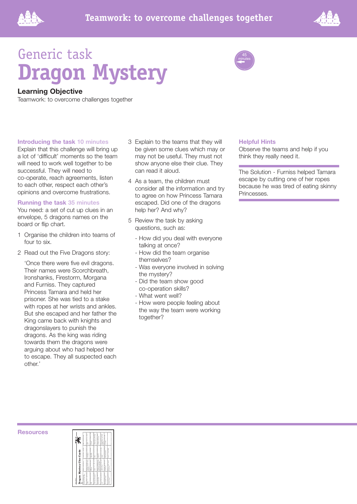



# Generic task **Dragon Mystery**

# **Learning Objective**

Teamwork: to overcome challenges together

## **Introducing the task 10 minutes**

Explain that this challenge will bring up a lot of 'difficult' moments so the team will need to work well together to be successful. They will need to co-operate, reach agreements, listen to each other, respect each other's opinions and overcome frustrations.

## **Running the task 35 minutes**

You need: a set of cut up clues in an envelope, 5 dragons names on the board or flip chart.

- 1 Organise the children into teams of four to six.
- 2 Read out the Five Dragons story:

'Once there were five evil dragons. Their names were Scorchbreath, Ironshanks, Firestorm, Morgana and Furniss. They captured Princess Tamara and held her prisoner. She was tied to a stake with ropes at her wrists and ankles. But she escaped and her father the King came back with knights and dragonslayers to punish the dragons. As the king was riding towards them the dragons were arguing about who had helped her to escape. They all suspected each other.'

- 3 Explain to the teams that they will be given some clues which may or may not be useful. They must not show anyone else their clue. They can read it aloud.
- 4 As a team, the children must consider all the information and try to agree on how Princess Tamara escaped. Did one of the dragons help her? And why?
- 5 Review the task by asking questions, such as:
	- How did you deal with everyone talking at once?
	- How did the team organise themselves?
	- Was everyone involved in solving the mystery?
	- Did the team show good co-operation skills?
	- What went well?
	- How were people feeling about the way the team were working together?

## **Helpful Hints**

45 minutes

Observe the teams and help if you think they really need it.

The Solution - Furniss helped Tamara escape by cutting one of her ropes because he was tired of eating skinny Princesses.

### **Resources**

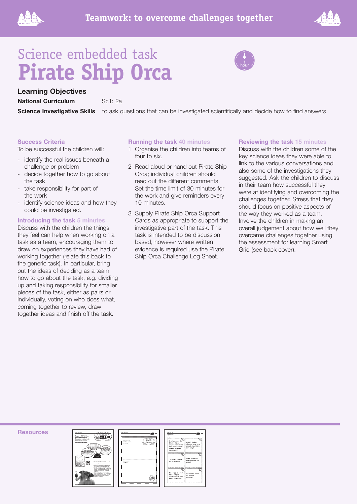



# Science embedded task **Pirate Ship Orca**



**National Curriculum** Sc1: 2a

**Science Investigative Skills** to ask questions that can be investigated scientifically and decide how to find answers

hour

# **Success Criteria**

To be successful the children will:

- identify the real issues beneath a challenge or problem
- decide together how to go about the task
- take responsibility for part of the work
- identify science ideas and how they could be investigated.

# **Introducing the task 5 minutes**

Discuss with the children the things they feel can help when working on a task as a team, encouraging them to draw on experiences they have had of working together (relate this back to the generic task). In particular, bring out the ideas of deciding as a team how to go about the task, e.g. dividing up and taking responsibility for smaller pieces of the task, either as pairs or individually, voting on who does what, coming together to review, draw together ideas and finish off the task.

# **Running the task 40 minutes**

- 1 Organise the children into teams of four to six.
- 2 Read aloud or hand out Pirate Ship Orca; individual children should read out the different comments. Set the time limit of 30 minutes for the work and give reminders every 10 minutes.
- 3 Supply Pirate Ship Orca Support Cards as appropriate to support the investigative part of the task. This task is intended to be discussion based, however where written evidence is required use the Pirate Ship Orca Challenge Log Sheet.

# **Reviewing the task 15 minutes**

Discuss with the children some of the key science ideas they were able to link to the various conversations and also some of the investigations they suggested. Ask the children to discuss in their team how successful they were at identifying and overcoming the challenges together. Stress that they should focus on positive aspects of the way they worked as a team. Involve the children in making an overall judgement about how well they overcame challenges together using the assessment for learning Smart Grid (see back cover).

**Resources**



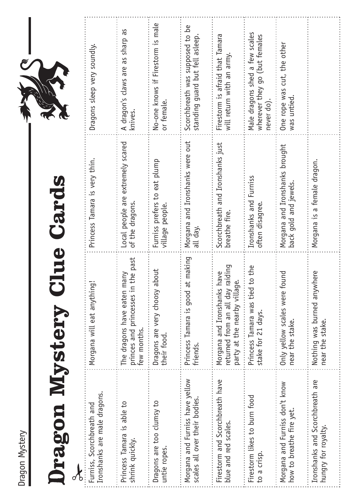| s           |  |
|-------------|--|
| S<br>)<br>é |  |

# Dragon Mystery Clue Cards D**ragon Mystery Clue Cards**

| L<br>т, |
|---------|

| Ironshanks are male dragons.<br>Furniss, Scorchbreath and        | Morgana will eat anything                                                                                 | Princess Tamara is very thin.                           | Dragons sleep very soundly.                                                   |
|------------------------------------------------------------------|-----------------------------------------------------------------------------------------------------------|---------------------------------------------------------|-------------------------------------------------------------------------------|
| Princess Tamara is able to<br>shrink quickly.                    | the past<br>The dragons have eaten many<br>princes and princesses in<br>few months.                       | Local people are extremely scared<br>of the dragons.    | A dragon's claws are as sharp as<br>knives.                                   |
| Dragons are too clumsy to<br>untie ropes.                        | Dragons are very choosy about<br>their food.                                                              | Furniss prefers to eat plump<br>village people.         | No-one knows if Firestorm is male<br>or female.                               |
| Morgana and Furniss have yellow<br>scales all over their bodies. | it making<br>Princess Tamara is good a<br>friends.                                                        | Morgana and Ironshanks were out<br>all day.             | Scorchbreath was supposed to be<br>standing guard but fell asleep.            |
| Firestorm and Scorchbreath have<br>blue and red scales.          | raiding<br>have<br>نە<br>party at the nearby villag<br>returned from an all day<br>Morgana and Ironshanks | Scorchbreath and Ironshanks just<br>breathe fire.       | Firestorm is afraid that Tamara<br>will return with an army.                  |
| Firestorm likes to burn food<br>to a crisp.                      | to the<br>Princess Tamara was tied<br>stake for 21 days.                                                  | Ironshanks and Furniss<br>often disagree.               | Male dragons shed a few scales<br>wherever they go (but females<br>never do). |
| Morgana and Furniss don't know<br>how to breathe fire yet.       | Only yellow scales were found<br>near the stake.                                                          | Morgana and Ironshanks brought<br>back gold and jewels. | One rope was cut, the other<br>was untied.                                    |
| Ironshanks and Scorchbreath are<br>hungry for royalty.           | here<br>Nothing was burned anyw<br>near the stake.                                                        | Morgana is a female dragon.                             |                                                                               |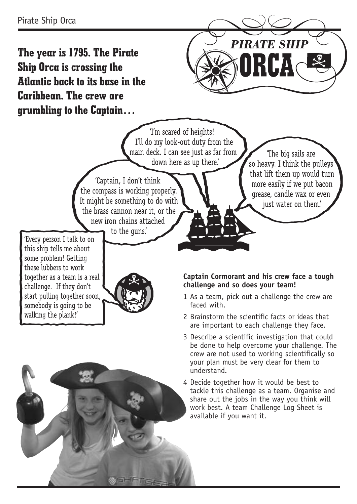**The year is 1795. The Pirate Ship Orca is crossing the Atlantic back to its base in the Caribbean. The crew are grumbling to the Captain…**



The big sails are

so heavy. I think the pulleys that lift them up would turn

more easily if we put bacon

grease, candle wax or even

just water on them.

'I'm scared of heights! I'll do my look-out duty from the main deck. I can see just as far from down here as up there.

'Captain, I don't think the compass is working properly. It might be something to do with the brass cannon near it, or the new iron chains attached

to the quns.

'Every person I talk to on this ship tells me about some problem! Getting these lubbers to work together as a team is a real challenge. If they don't start pulling together soon, somebody is going to be walking the plank!'



**Captain Cormorant and his crew face a tough challenge and so does your team!**

- 1 As a team, pick out a challenge the crew are faced with.
- 2 Brainstorm the scientific facts or ideas that are important to each challenge they face.
- 3 Describe a scientific investigation that could be done to help overcome your challenge. The crew are not used to working scientifically so your plan must be very clear for them to understand.
- 4 Decide together how it would be best to tackle this challenge as a team. Organise and share out the jobs in the way you think will work best. A team Challenge Log Sheet is available if you want it.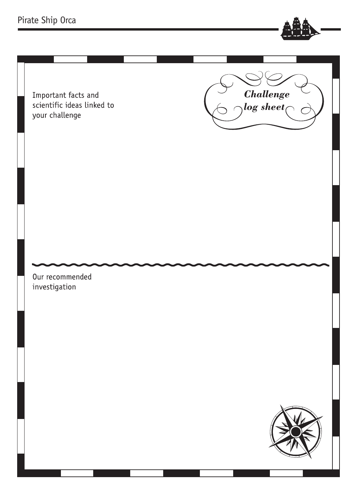# Pirate Ship Orca

Important facts and scientific ideas linked to your challenge

investigation

Our recommended





**Challenge** 

 $_{0}$ log sheet $_{\bigcap}$